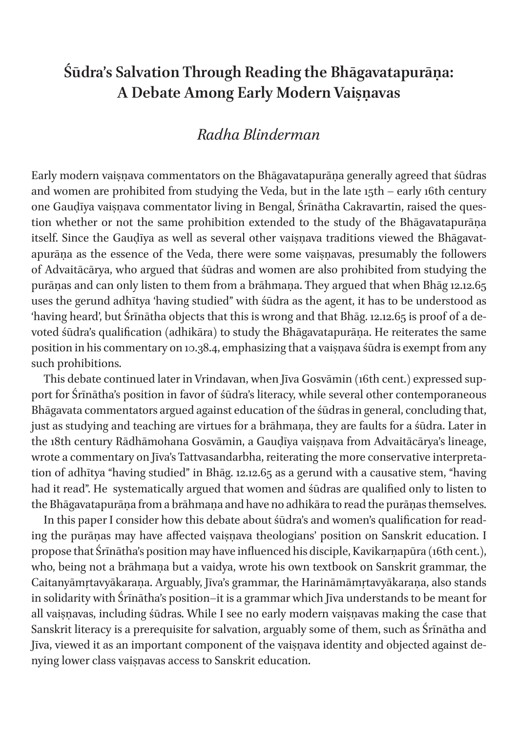## **Śūdra's Salvation Through Reading the Bhāgavatapurāṇa: A Debate Among Early Modern Vaiṣṇavas**

### *Radha Blinderman*

Early modern vaiṣṇava commentators on the Bhāgavatapurāṇa generally agreed that śūdras and women are prohibited from studying the Veda, but in the late 15th – early 16th century one Gaudīya vaisnava commentator living in Bengal, Śrīnātha Cakravartin, raised the question whether or not the same prohibition extended to the study of the Bhāgavatapurāṇa itself. Since the Gauḍīya as well as several other vaiṣṇava traditions viewed the Bhāgavatapurāna as the essence of the Veda, there were some vaisnavas, presumably the followers of Advaitācārya, who argued that śūdras and women are also prohibited from studying the purāṇas and can only listen to them from a brāhmaṇa. They argued that when Bhāg 12.12.65 uses the gerund adhītya 'having studied" with śūdra as the agent, it has to be understood as 'having heard', but Śrīnātha objects that this is wrong and that Bhāg. 12.12.65 is proof of a devoted śūdra's qualification (adhikāra) to study the Bhāgavatapurāṇa. He reiterates the same position in his commentary on 10.38.4, emphasizing that a vaiṣṇava śūdra is exempt from any such prohibitions.

This debate continued later in Vrindavan, when Jīva Gosvāmin (16th cent.) expressed support for Śrīnātha's position in favor of śūdra's literacy, while several other contemporaneous Bhāgavata commentators argued against education of the śūdras in general, concluding that, just as studying and teaching are virtues for a brāhmaṇa, they are faults for a śūdra. Later in the 18th century Rādhāmohana Gosvāmin, a Gauḍīya vaiṣṇava from Advaitācārya's lineage, wrote a commentary on Jīva's Tattvasandarbha, reiterating the more conservative interpretation of adhītya "having studied" in Bhāg. 12.12.65 as a gerund with a causative stem, "having had it read". He systematically argued that women and śūdras are qualified only to listen to the Bhāgavatapurāṇa from a brāhmaṇa and have no adhikāra to read the purāṇas themselves.

In this paper I consider how this debate about śūdra's and women's qualification for reading the purāṇas may have affected vaiṣṇava theologians' position on Sanskrit education. I propose that Śrīnātha's position may have influenced his disciple, Kavikarṇapūra (16th cent.), who, being not a brāhmaṇa but a vaidya, wrote his own textbook on Sanskrit grammar, the Caitanyāmṛtavyākaraṇa. Arguably, Jīva's grammar, the Harināmāmṛtavyākaraṇa, also stands in solidarity with Śrīnātha's position–it is a grammar which Jīva understands to be meant for all vaiṣṇavas, including śūdras. While I see no early modern vaiṣṇavas making the case that Sanskrit literacy is a prerequisite for salvation, arguably some of them, such as Śrīnātha and Jīva, viewed it as an important component of the vaiṣṇava identity and objected against denying lower class vaiṣṇavas access to Sanskrit education.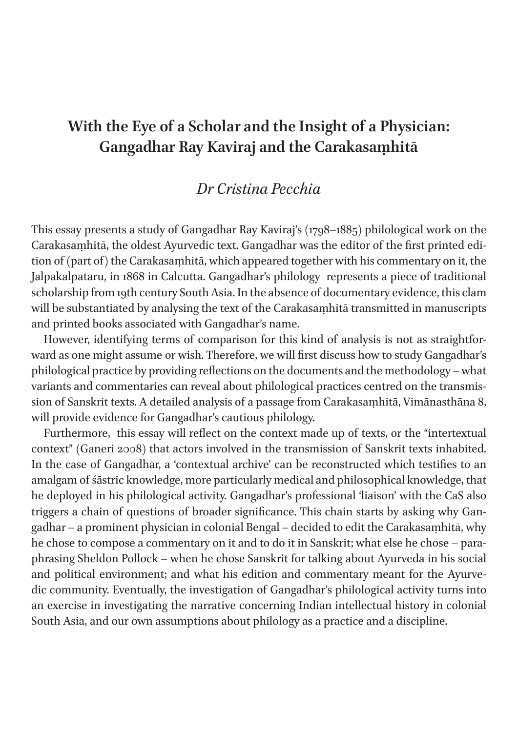## **With the Eye of a Scholar and the Insight of a Physician: Gangadhar Ray Kaviraj and the Carakasaṃhitā**

#### *Dr Cristina Pecchia*

This essay presents a study of Gangadhar Ray Kaviraj's (1798–1885) philological work on the Carakasaṃhitā, the oldest Ayurvedic text. Gangadhar was the editor of the first printed edition of (part of) the Carakasaṃhitā, which appeared together with his commentary on it, the Jalpakalpataru, in 1868 in Calcutta. Gangadhar's philology represents a piece of traditional scholarship from 19th century South Asia. In the absence of documentary evidence, this clam will be substantiated by analysing the text of the Carakasaṃhitā transmitted in manuscripts and printed books associated with Gangadhar's name.

However, identifying terms of comparison for this kind of analysis is not as straightforward as one might assume or wish. Therefore, we will first discuss how to study Gangadhar's philological practice by providing reflections on the documents and the methodology – what variants and commentaries can reveal about philological practices centred on the transmission of Sanskrit texts. A detailed analysis of a passage from Carakasaṃhitā, Vimānasthāna 8, will provide evidence for Gangadhar's cautious philology.

Furthermore, this essay will reflect on the context made up of texts, or the "intertextual context" (Ganeri 2008) that actors involved in the transmission of Sanskrit texts inhabited. In the case of Gangadhar, a 'contextual archive' can be reconstructed which testifies to an amalgam of śāstric knowledge, more particularly medical and philosophical knowledge, that he deployed in his philological activity. Gangadhar's professional 'liaison' with the CaS also triggers a chain of questions of broader significance. This chain starts by asking why Gangadhar – a prominent physician in colonial Bengal – decided to edit the Carakasaṃhitā, why he chose to compose a commentary on it and to do it in Sanskrit; what else he chose – paraphrasing Sheldon Pollock – when he chose Sanskrit for talking about Ayurveda in his social and political environment; and what his edition and commentary meant for the Ayurvedic community. Eventually, the investigation of Gangadhar's philological activity turns into an exercise in investigating the narrative concerning Indian intellectual history in colonial South Asia, and our own assumptions about philology as a practice and a discipline.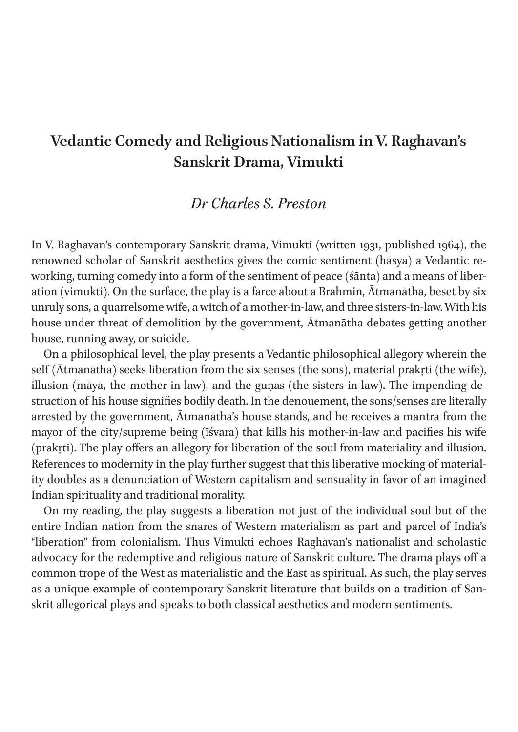### **Vedantic Comedy and Religious Nationalism in V. Raghavan's Sanskrit Drama, Vimukti**

### *Dr Charles S. Preston*

In V. Raghavan's contemporary Sanskrit drama, Vimukti (written 1931, published 1964), the renowned scholar of Sanskrit aesthetics gives the comic sentiment (hāsya) a Vedantic reworking, turning comedy into a form of the sentiment of peace (śānta) and a means of liberation (vimukti). On the surface, the play is a farce about a Brahmin, Ātmanātha, beset by six unruly sons, a quarrelsome wife, a witch of a mother-in-law, and three sisters-in-law. With his house under threat of demolition by the government, Ātmanātha debates getting another house, running away, or suicide.

On a philosophical level, the play presents a Vedantic philosophical allegory wherein the self (Ātmanātha) seeks liberation from the six senses (the sons), material prakṛti (the wife), illusion (māyā, the mother-in-law), and the guṇas (the sisters-in-law). The impending destruction of his house signifies bodily death. In the denouement, the sons/senses are literally arrested by the government, Ātmanātha's house stands, and he receives a mantra from the mayor of the city/supreme being (īśvara) that kills his mother-in-law and pacifies his wife (prakṛti). The play offers an allegory for liberation of the soul from materiality and illusion. References to modernity in the play further suggest that this liberative mocking of materiality doubles as a denunciation of Western capitalism and sensuality in favor of an imagined Indian spirituality and traditional morality.

On my reading, the play suggests a liberation not just of the individual soul but of the entire Indian nation from the snares of Western materialism as part and parcel of India's "liberation" from colonialism. Thus Vimukti echoes Raghavan's nationalist and scholastic advocacy for the redemptive and religious nature of Sanskrit culture. The drama plays off a common trope of the West as materialistic and the East as spiritual. As such, the play serves as a unique example of contemporary Sanskrit literature that builds on a tradition of Sanskrit allegorical plays and speaks to both classical aesthetics and modern sentiments.